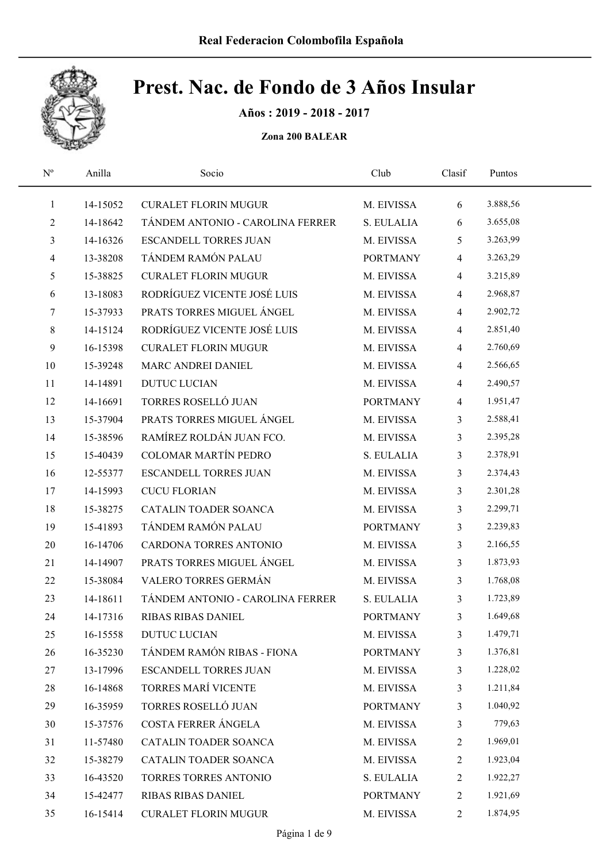

Años : 2019 - 2018 - 2017

| $\mathrm{N}^{\mathrm{o}}$ | Anilla   | Socio                            | Club            | Clasif         | Puntos   |  |
|---------------------------|----------|----------------------------------|-----------------|----------------|----------|--|
| $\mathbf{1}$              | 14-15052 | <b>CURALET FLORIN MUGUR</b>      | M. EIVISSA      | 6              | 3.888,56 |  |
| $\overline{c}$            | 14-18642 | TÁNDEM ANTONIO - CAROLINA FERRER | S. EULALIA      | 6              | 3.655,08 |  |
| 3                         | 14-16326 | <b>ESCANDELL TORRES JUAN</b>     | M. EIVISSA      | 5              | 3.263,99 |  |
| $\overline{\mathcal{A}}$  | 13-38208 | TÁNDEM RAMÓN PALAU               | <b>PORTMANY</b> | $\overline{4}$ | 3.263,29 |  |
| 5                         | 15-38825 | <b>CURALET FLORIN MUGUR</b>      | M. EIVISSA      | $\overline{4}$ | 3.215,89 |  |
| 6                         | 13-18083 | RODRÍGUEZ VICENTE JOSÉ LUIS      | M. EIVISSA      | $\overline{4}$ | 2.968,87 |  |
| 7                         | 15-37933 | PRATS TORRES MIGUEL ÁNGEL        | M. EIVISSA      | $\overline{4}$ | 2.902,72 |  |
| 8                         | 14-15124 | RODRÍGUEZ VICENTE JOSÉ LUIS      | M. EIVISSA      | $\overline{4}$ | 2.851,40 |  |
| 9                         | 16-15398 | <b>CURALET FLORIN MUGUR</b>      | M. EIVISSA      | $\overline{4}$ | 2.760,69 |  |
| 10                        | 15-39248 | MARC ANDREI DANIEL               | M. EIVISSA      | $\overline{4}$ | 2.566,65 |  |
| 11                        | 14-14891 | <b>DUTUC LUCIAN</b>              | M. EIVISSA      | $\overline{4}$ | 2.490,57 |  |
| 12                        | 14-16691 | TORRES ROSELLÓ JUAN              | <b>PORTMANY</b> | $\overline{4}$ | 1.951,47 |  |
| 13                        | 15-37904 | PRATS TORRES MIGUEL ÁNGEL        | M. EIVISSA      | $\overline{3}$ | 2.588,41 |  |
| 14                        | 15-38596 | RAMÍREZ ROLDÁN JUAN FCO.         | M. EIVISSA      | $\overline{3}$ | 2.395,28 |  |
| 15                        | 15-40439 | <b>COLOMAR MARTÍN PEDRO</b>      | S. EULALIA      | $\overline{3}$ | 2.378,91 |  |
| 16                        | 12-55377 | <b>ESCANDELL TORRES JUAN</b>     | M. EIVISSA      | 3              | 2.374,43 |  |
| 17                        | 14-15993 | <b>CUCU FLORIAN</b>              | M. EIVISSA      | $\mathfrak{Z}$ | 2.301,28 |  |
| 18                        | 15-38275 | CATALIN TOADER SOANCA            | M. EIVISSA      | $\overline{3}$ | 2.299,71 |  |
| 19                        | 15-41893 | TÁNDEM RAMÓN PALAU               | <b>PORTMANY</b> | $\overline{3}$ | 2.239,83 |  |
| 20                        | 16-14706 | CARDONA TORRES ANTONIO           | M. EIVISSA      | $\overline{3}$ | 2.166,55 |  |
| 21                        | 14-14907 | PRATS TORRES MIGUEL ÁNGEL        | M. EIVISSA      | $\mathfrak{Z}$ | 1.873,93 |  |
| 22                        | 15-38084 | VALERO TORRES GERMÁN             | M. EIVISSA      | $\mathfrak{Z}$ | 1.768,08 |  |
| 23                        | 14-18611 | TÁNDEM ANTONIO - CAROLINA FERRER | S. EULALIA      | 3              | 1.723,89 |  |
| 24                        | 14-17316 | <b>RIBAS RIBAS DANIEL</b>        | <b>PORTMANY</b> | 3              | 1.649,68 |  |
| 25                        | 16-15558 | <b>DUTUC LUCIAN</b>              | M. EIVISSA      | 3              | 1.479,71 |  |
| 26                        | 16-35230 | TÁNDEM RAMÓN RIBAS - FIONA       | <b>PORTMANY</b> | 3              | 1.376,81 |  |
| 27                        | 13-17996 | <b>ESCANDELL TORRES JUAN</b>     | M. EIVISSA      | $\mathfrak{Z}$ | 1.228,02 |  |
| 28                        | 16-14868 | TORRES MARÍ VICENTE              | M. EIVISSA      | 3              | 1.211,84 |  |
| 29                        | 16-35959 | TORRES ROSELLÓ JUAN              | <b>PORTMANY</b> | 3              | 1.040,92 |  |
| 30                        | 15-37576 | COSTA FERRER ÁNGELA              | M. EIVISSA      | $\mathfrak{Z}$ | 779,63   |  |
| 31                        | 11-57480 | CATALIN TOADER SOANCA            | M. EIVISSA      | $\mathbf{2}$   | 1.969,01 |  |
| 32                        | 15-38279 | CATALIN TOADER SOANCA            | M. EIVISSA      | $\overline{2}$ | 1.923,04 |  |
| 33                        | 16-43520 | TORRES TORRES ANTONIO            | S. EULALIA      | $\mathbf{2}$   | 1.922,27 |  |
| 34                        | 15-42477 | RIBAS RIBAS DANIEL               | <b>PORTMANY</b> | $\overline{2}$ | 1.921,69 |  |
| 35                        | 16-15414 | <b>CURALET FLORIN MUGUR</b>      | M. EIVISSA      | $\overline{2}$ | 1.874,95 |  |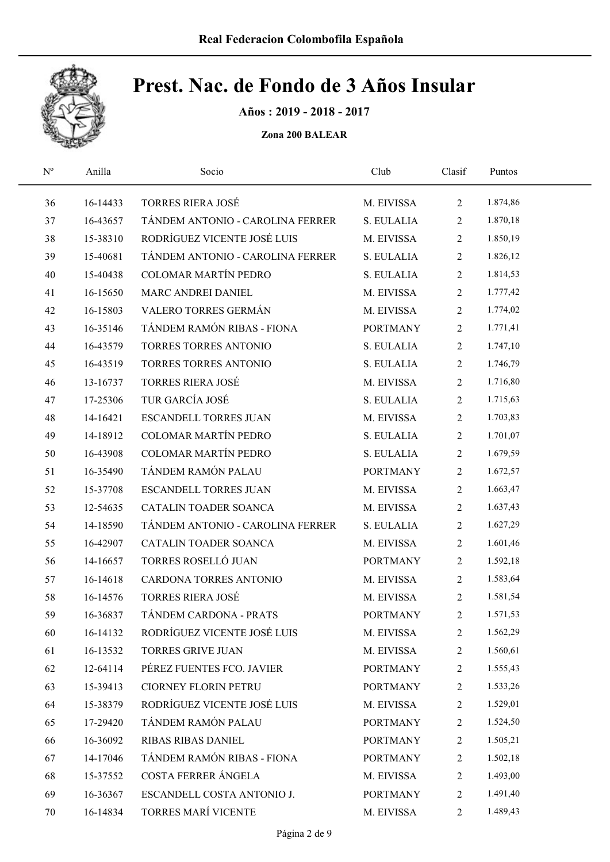

Años : 2019 - 2018 - 2017

| $\mathbf{N}^{\text{o}}$ | Anilla   | Socio                            | Club            | Clasif         | Puntos   |  |
|-------------------------|----------|----------------------------------|-----------------|----------------|----------|--|
| 36                      | 16-14433 | <b>TORRES RIERA JOSÉ</b>         | M. EIVISSA      | $\overline{2}$ | 1.874,86 |  |
| 37                      | 16-43657 | TÁNDEM ANTONIO - CAROLINA FERRER | S. EULALIA      | $\overline{2}$ | 1.870,18 |  |
| 38                      | 15-38310 | RODRÍGUEZ VICENTE JOSÉ LUIS      | M. EIVISSA      | $\overline{2}$ | 1.850,19 |  |
| 39                      | 15-40681 | TÁNDEM ANTONIO - CAROLINA FERRER | S. EULALIA      | $\overline{2}$ | 1.826,12 |  |
| 40                      | 15-40438 | COLOMAR MARTÍN PEDRO             | S. EULALIA      | $\overline{2}$ | 1.814,53 |  |
| 41                      | 16-15650 | MARC ANDREI DANIEL               | M. EIVISSA      | $\overline{2}$ | 1.777,42 |  |
| 42                      | 16-15803 | VALERO TORRES GERMÁN             | M. EIVISSA      | $\overline{2}$ | 1.774,02 |  |
| 43                      | 16-35146 | TÁNDEM RAMÓN RIBAS - FIONA       | <b>PORTMANY</b> | $\overline{2}$ | 1.771,41 |  |
| 44                      | 16-43579 | TORRES TORRES ANTONIO            | S. EULALIA      | $\overline{2}$ | 1.747,10 |  |
| 45                      | 16-43519 | TORRES TORRES ANTONIO            | S. EULALIA      | $\overline{2}$ | 1.746,79 |  |
| 46                      | 13-16737 | <b>TORRES RIERA JOSÉ</b>         | M. EIVISSA      | $\overline{2}$ | 1.716,80 |  |
| 47                      | 17-25306 | TUR GARCÍA JOSÉ                  | S. EULALIA      | $\overline{2}$ | 1.715,63 |  |
| 48                      | 14-16421 | <b>ESCANDELL TORRES JUAN</b>     | M. EIVISSA      | $\overline{2}$ | 1.703,83 |  |
| 49                      | 14-18912 | COLOMAR MARTÍN PEDRO             | S. EULALIA      | $\overline{2}$ | 1.701,07 |  |
| 50                      | 16-43908 | <b>COLOMAR MARTÍN PEDRO</b>      | S. EULALIA      | $\overline{2}$ | 1.679,59 |  |
| 51                      | 16-35490 | TÁNDEM RAMÓN PALAU               | <b>PORTMANY</b> | $\overline{2}$ | 1.672,57 |  |
| 52                      | 15-37708 | <b>ESCANDELL TORRES JUAN</b>     | M. EIVISSA      | $\overline{2}$ | 1.663,47 |  |
| 53                      | 12-54635 | CATALIN TOADER SOANCA            | M. EIVISSA      | $\overline{2}$ | 1.637,43 |  |
| 54                      | 14-18590 | TÁNDEM ANTONIO - CAROLINA FERRER | S. EULALIA      | $\overline{2}$ | 1.627,29 |  |
| 55                      | 16-42907 | CATALIN TOADER SOANCA            | M. EIVISSA      | $\overline{2}$ | 1.601,46 |  |
| 56                      | 14-16657 | TORRES ROSELLÓ JUAN              | <b>PORTMANY</b> | $\overline{2}$ | 1.592,18 |  |
| 57                      | 16-14618 | CARDONA TORRES ANTONIO           | M. EIVISSA      | $\overline{2}$ | 1.583,64 |  |
| 58                      | 16-14576 | <b>TORRES RIERA JOSÉ</b>         | M. EIVISSA      | $\overline{2}$ | 1.581,54 |  |
| 59                      | 16-36837 | TÁNDEM CARDONA - PRATS           | <b>PORTMANY</b> | $\mathbf{2}$   | 1.571,53 |  |
| 60                      | 16-14132 | RODRÍGUEZ VICENTE JOSÉ LUIS      | M. EIVISSA      | 2              | 1.562,29 |  |
| 61                      | 16-13532 | <b>TORRES GRIVE JUAN</b>         | M. EIVISSA      | $\overline{2}$ | 1.560,61 |  |
| 62                      | 12-64114 | PÉREZ FUENTES FCO. JAVIER        | <b>PORTMANY</b> | $\overline{2}$ | 1.555,43 |  |
| 63                      | 15-39413 | <b>CIORNEY FLORIN PETRU</b>      | <b>PORTMANY</b> | $\mathbf{2}$   | 1.533,26 |  |
| 64                      | 15-38379 | RODRÍGUEZ VICENTE JOSÉ LUIS      | M. EIVISSA      | $\mathbf{2}$   | 1.529,01 |  |
| 65                      | 17-29420 | TÁNDEM RAMÓN PALAU               | <b>PORTMANY</b> | $\mathbf{2}$   | 1.524,50 |  |
| 66                      | 16-36092 | RIBAS RIBAS DANIEL               | <b>PORTMANY</b> | $\overline{2}$ | 1.505,21 |  |
| 67                      | 14-17046 | TÁNDEM RAMÓN RIBAS - FIONA       | <b>PORTMANY</b> | $\overline{2}$ | 1.502,18 |  |
| 68                      | 15-37552 | COSTA FERRER ÁNGELA              | M. EIVISSA      | $\sqrt{2}$     | 1.493,00 |  |
| 69                      | 16-36367 | ESCANDELL COSTA ANTONIO J.       | <b>PORTMANY</b> | $\overline{2}$ | 1.491,40 |  |
| 70                      | 16-14834 | TORRES MARÍ VICENTE              | M. EIVISSA      | 2              | 1.489,43 |  |
|                         |          |                                  |                 |                |          |  |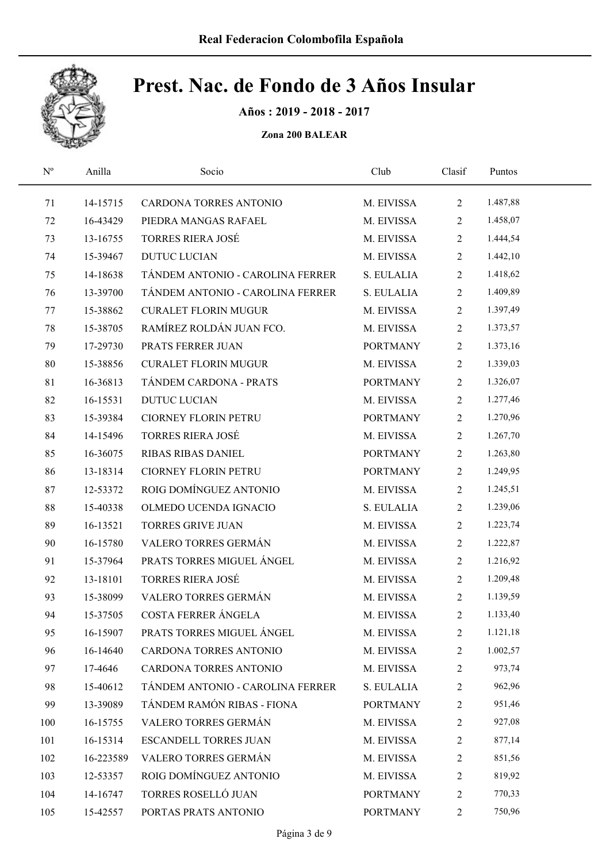

Años : 2019 - 2018 - 2017

| $\mathrm{N}^{\rm o}$ | Anilla    | Socio                            | Club            | Clasif         | Puntos   |  |
|----------------------|-----------|----------------------------------|-----------------|----------------|----------|--|
| 71                   | 14-15715  | CARDONA TORRES ANTONIO           | M. EIVISSA      | $\overline{2}$ | 1.487,88 |  |
| 72                   | 16-43429  | PIEDRA MANGAS RAFAEL             | M. EIVISSA      | $\overline{2}$ | 1.458,07 |  |
| 73                   | 13-16755  | <b>TORRES RIERA JOSÉ</b>         | M. EIVISSA      | $\overline{2}$ | 1.444,54 |  |
| 74                   | 15-39467  | <b>DUTUC LUCIAN</b>              | M. EIVISSA      | $\overline{2}$ | 1.442,10 |  |
| 75                   | 14-18638  | TÁNDEM ANTONIO - CAROLINA FERRER | S. EULALIA      | $\overline{2}$ | 1.418,62 |  |
| 76                   | 13-39700  | TÁNDEM ANTONIO - CAROLINA FERRER | S. EULALIA      | $\overline{2}$ | 1.409,89 |  |
| 77                   | 15-38862  | <b>CURALET FLORIN MUGUR</b>      | M. EIVISSA      | $\overline{2}$ | 1.397,49 |  |
| 78                   | 15-38705  | RAMÍREZ ROLDÁN JUAN FCO.         | M. EIVISSA      | $\overline{2}$ | 1.373,57 |  |
| 79                   | 17-29730  | PRATS FERRER JUAN                | <b>PORTMANY</b> | $\overline{2}$ | 1.373,16 |  |
| 80                   | 15-38856  | <b>CURALET FLORIN MUGUR</b>      | M. EIVISSA      | $\overline{2}$ | 1.339,03 |  |
| 81                   | 16-36813  | TÁNDEM CARDONA - PRATS           | <b>PORTMANY</b> | $\overline{2}$ | 1.326,07 |  |
| 82                   | 16-15531  | <b>DUTUC LUCIAN</b>              | M. EIVISSA      | $\overline{2}$ | 1.277,46 |  |
| 83                   | 15-39384  | CIORNEY FLORIN PETRU             | <b>PORTMANY</b> | $\overline{2}$ | 1.270,96 |  |
| 84                   | 14-15496  | <b>TORRES RIERA JOSÉ</b>         | M. EIVISSA      | $\overline{2}$ | 1.267,70 |  |
| 85                   | 16-36075  | <b>RIBAS RIBAS DANIEL</b>        | <b>PORTMANY</b> | $\overline{2}$ | 1.263,80 |  |
| 86                   | 13-18314  | <b>CIORNEY FLORIN PETRU</b>      | <b>PORTMANY</b> | $\overline{2}$ | 1.249,95 |  |
| 87                   | 12-53372  | ROIG DOMÍNGUEZ ANTONIO           | M. EIVISSA      | $\overline{2}$ | 1.245,51 |  |
| 88                   | 15-40338  | OLMEDO UCENDA IGNACIO            | S. EULALIA      | $\overline{2}$ | 1.239,06 |  |
| 89                   | 16-13521  | <b>TORRES GRIVE JUAN</b>         | M. EIVISSA      | $\overline{2}$ | 1.223,74 |  |
| 90                   | 16-15780  | VALERO TORRES GERMÁN             | M. EIVISSA      | $\overline{2}$ | 1.222,87 |  |
| 91                   | 15-37964  | PRATS TORRES MIGUEL ÁNGEL        | M. EIVISSA      | $\overline{2}$ | 1.216,92 |  |
| 92                   | 13-18101  | <b>TORRES RIERA JOSÉ</b>         | M. EIVISSA      | $\overline{2}$ | 1.209,48 |  |
| 93                   | 15-38099  | VALERO TORRES GERMÁN             | M. EIVISSA      | $\overline{2}$ | 1.139,59 |  |
| 94                   | 15-37505  | COSTA FERRER ÁNGELA              | M. EIVISSA      | $\overline{2}$ | 1.133,40 |  |
| 95                   | 16-15907  | PRATS TORRES MIGUEL ÁNGEL        | M. EIVISSA      | 2              | 1.121,18 |  |
| 96                   | 16-14640  | CARDONA TORRES ANTONIO           | M. EIVISSA      | 2              | 1.002,57 |  |
| 97                   | 17-4646   | CARDONA TORRES ANTONIO           | M. EIVISSA      | 2              | 973,74   |  |
| 98                   | 15-40612  | TÁNDEM ANTONIO - CAROLINA FERRER | S. EULALIA      | 2              | 962,96   |  |
| 99                   | 13-39089  | TÁNDEM RAMÓN RIBAS - FIONA       | <b>PORTMANY</b> | 2              | 951,46   |  |
| 100                  | 16-15755  | VALERO TORRES GERMÁN             | M. EIVISSA      | $\overline{c}$ | 927,08   |  |
| 101                  | 16-15314  | ESCANDELL TORRES JUAN            | M. EIVISSA      | $\overline{c}$ | 877,14   |  |
| 102                  | 16-223589 | VALERO TORRES GERMÁN             | M. EIVISSA      | 2              | 851,56   |  |
| 103                  | 12-53357  | ROIG DOMÍNGUEZ ANTONIO           | M. EIVISSA      | $\overline{c}$ | 819,92   |  |
| 104                  | 14-16747  | TORRES ROSELLÓ JUAN              | <b>PORTMANY</b> | 2              | 770,33   |  |
| 105                  | 15-42557  | PORTAS PRATS ANTONIO             | <b>PORTMANY</b> | $\overline{2}$ | 750,96   |  |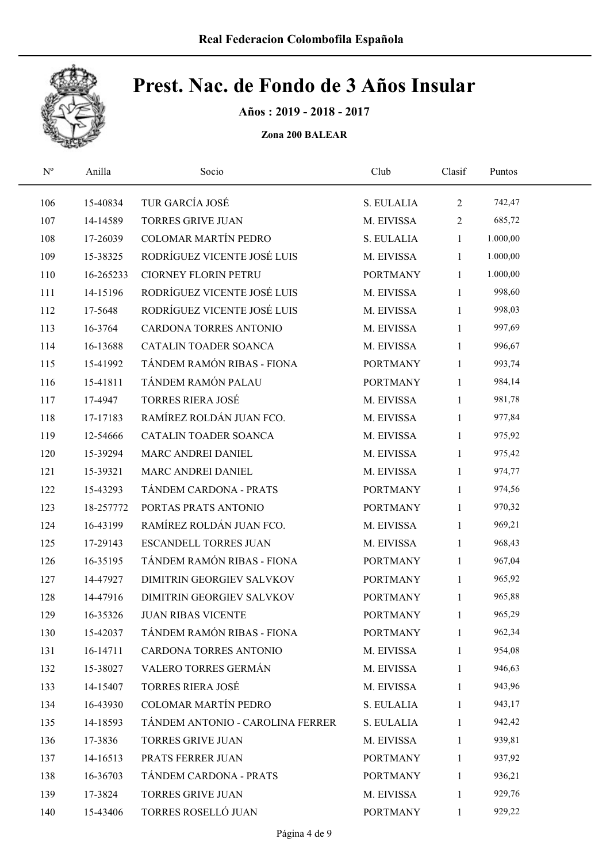

Años : 2019 - 2018 - 2017

| $\mathbf{N}^{\mathrm{o}}$ | Anilla    | Socio                            | Club            | Clasif         | Puntos   |  |
|---------------------------|-----------|----------------------------------|-----------------|----------------|----------|--|
| 106                       | 15-40834  | TUR GARCÍA JOSÉ                  | S. EULALIA      | $\mathbf{2}$   | 742,47   |  |
| 107                       | 14-14589  | <b>TORRES GRIVE JUAN</b>         | M. EIVISSA      | $\overline{2}$ | 685,72   |  |
| 108                       | 17-26039  | <b>COLOMAR MARTÍN PEDRO</b>      | S. EULALIA      | $\mathbf{1}$   | 1.000,00 |  |
| 109                       | 15-38325  | RODRÍGUEZ VICENTE JOSÉ LUIS      | M. EIVISSA      | $\mathbf{1}$   | 1.000,00 |  |
| 110                       | 16-265233 | CIORNEY FLORIN PETRU             | <b>PORTMANY</b> | $\mathbf{1}$   | 1.000,00 |  |
| 111                       | 14-15196  | RODRÍGUEZ VICENTE JOSÉ LUIS      | M. EIVISSA      | $\mathbf{1}$   | 998,60   |  |
| 112                       | 17-5648   | RODRÍGUEZ VICENTE JOSÉ LUIS      | M. EIVISSA      | $\mathbf{1}$   | 998,03   |  |
| 113                       | 16-3764   | CARDONA TORRES ANTONIO           | M. EIVISSA      | $\mathbf{1}$   | 997,69   |  |
| 114                       | 16-13688  | CATALIN TOADER SOANCA            | M. EIVISSA      | $\mathbf{1}$   | 996,67   |  |
| 115                       | 15-41992  | TÁNDEM RAMÓN RIBAS - FIONA       | <b>PORTMANY</b> | $\mathbf{1}$   | 993,74   |  |
| 116                       | 15-41811  | TÁNDEM RAMÓN PALAU               | <b>PORTMANY</b> | $\mathbf{1}$   | 984,14   |  |
| 117                       | 17-4947   | <b>TORRES RIERA JOSÉ</b>         | M. EIVISSA      | $\mathbf{1}$   | 981,78   |  |
| 118                       | 17-17183  | RAMÍREZ ROLDÁN JUAN FCO.         | M. EIVISSA      | $\mathbf{1}$   | 977,84   |  |
| 119                       | 12-54666  | CATALIN TOADER SOANCA            | M. EIVISSA      | $\mathbf{1}$   | 975,92   |  |
| 120                       | 15-39294  | MARC ANDREI DANIEL               | M. EIVISSA      | $\mathbf{1}$   | 975,42   |  |
| 121                       | 15-39321  | MARC ANDREI DANIEL               | M. EIVISSA      | $\mathbf{1}$   | 974,77   |  |
| 122                       | 15-43293  | TÁNDEM CARDONA - PRATS           | <b>PORTMANY</b> | $\mathbf{1}$   | 974,56   |  |
| 123                       | 18-257772 | PORTAS PRATS ANTONIO             | <b>PORTMANY</b> | $\mathbf{1}$   | 970,32   |  |
| 124                       | 16-43199  | RAMÍREZ ROLDÁN JUAN FCO.         | M. EIVISSA      | $\mathbf{1}$   | 969,21   |  |
| 125                       | 17-29143  | <b>ESCANDELL TORRES JUAN</b>     | M. EIVISSA      | $\mathbf{1}$   | 968,43   |  |
| 126                       | 16-35195  | TÁNDEM RAMÓN RIBAS - FIONA       | <b>PORTMANY</b> | $\mathbf{1}$   | 967,04   |  |
| 127                       | 14-47927  | DIMITRIN GEORGIEV SALVKOV        | <b>PORTMANY</b> | $\mathbf{1}$   | 965,92   |  |
| 128                       | 14-47916  | DIMITRIN GEORGIEV SALVKOV        | <b>PORTMANY</b> | $\mathbf{1}$   | 965,88   |  |
| 129                       | 16-35326  | <b>JUAN RIBAS VICENTE</b>        | <b>PORTMANY</b> | $\mathbf{1}$   | 965,29   |  |
| 130                       | 15-42037  | TÁNDEM RAMÓN RIBAS - FIONA       | <b>PORTMANY</b> | 1              | 962,34   |  |
| 131                       | 16-14711  | CARDONA TORRES ANTONIO           | M. EIVISSA      | $\mathbf{1}$   | 954,08   |  |
| 132                       | 15-38027  | VALERO TORRES GERMÁN             | M. EIVISSA      | $\mathbf{1}$   | 946,63   |  |
| 133                       | 14-15407  | TORRES RIERA JOSÉ                | M. EIVISSA      | $\mathbf{1}$   | 943,96   |  |
| 134                       | 16-43930  | <b>COLOMAR MARTÍN PEDRO</b>      | S. EULALIA      | 1              | 943,17   |  |
| 135                       | 14-18593  | TÁNDEM ANTONIO - CAROLINA FERRER | S. EULALIA      | $\mathbf{1}$   | 942,42   |  |
| 136                       | 17-3836   | TORRES GRIVE JUAN                | M. EIVISSA      | $\mathbf{1}$   | 939,81   |  |
| 137                       | 14-16513  | PRATS FERRER JUAN                | <b>PORTMANY</b> | $\mathbf{1}$   | 937,92   |  |
| 138                       | 16-36703  | TÁNDEM CARDONA - PRATS           | <b>PORTMANY</b> | $\mathbf{1}$   | 936,21   |  |
| 139                       | 17-3824   | <b>TORRES GRIVE JUAN</b>         | M. EIVISSA      | $\mathbf{1}$   | 929,76   |  |
| 140                       | 15-43406  | TORRES ROSELLÓ JUAN              | <b>PORTMANY</b> | $\mathbf{1}$   | 929,22   |  |
|                           |           |                                  |                 |                |          |  |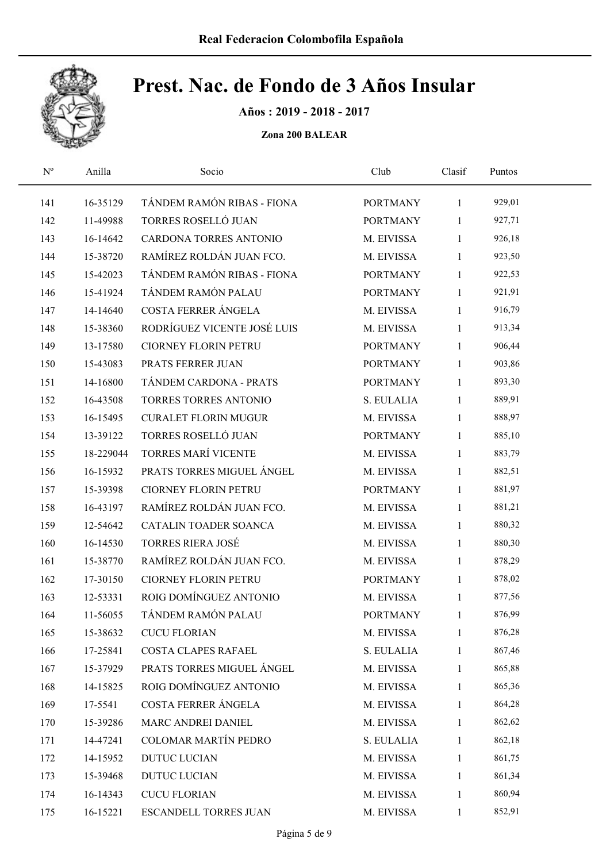

Años : 2019 - 2018 - 2017

| $\mathbf{N}^{\text{o}}$ | Anilla    | Socio                       | Club            | Clasif       | Puntos |  |
|-------------------------|-----------|-----------------------------|-----------------|--------------|--------|--|
| 141                     | 16-35129  | TÁNDEM RAMÓN RIBAS - FIONA  | <b>PORTMANY</b> | $\mathbf{1}$ | 929,01 |  |
| 142                     | 11-49988  | TORRES ROSELLÓ JUAN         | <b>PORTMANY</b> | 1            | 927,71 |  |
| 143                     | 16-14642  | CARDONA TORRES ANTONIO      | M. EIVISSA      | $\mathbf{1}$ | 926,18 |  |
| 144                     | 15-38720  | RAMÍREZ ROLDÁN JUAN FCO.    | M. EIVISSA      | $\mathbf{1}$ | 923,50 |  |
| 145                     | 15-42023  | TÁNDEM RAMÓN RIBAS - FIONA  | <b>PORTMANY</b> | $\mathbf{1}$ | 922,53 |  |
| 146                     | 15-41924  | TÁNDEM RAMÓN PALAU          | <b>PORTMANY</b> | $\mathbf{1}$ | 921,91 |  |
| 147                     | 14-14640  | COSTA FERRER ÁNGELA         | M. EIVISSA      | $\mathbf{1}$ | 916,79 |  |
| 148                     | 15-38360  | RODRÍGUEZ VICENTE JOSÉ LUIS | M. EIVISSA      | $\mathbf{1}$ | 913,34 |  |
| 149                     | 13-17580  | <b>CIORNEY FLORIN PETRU</b> | <b>PORTMANY</b> | $\mathbf{1}$ | 906,44 |  |
| 150                     | 15-43083  | PRATS FERRER JUAN           | <b>PORTMANY</b> | $\mathbf{1}$ | 903,86 |  |
| 151                     | 14-16800  | TÁNDEM CARDONA - PRATS      | <b>PORTMANY</b> | $\mathbf{1}$ | 893,30 |  |
| 152                     | 16-43508  | TORRES TORRES ANTONIO       | S. EULALIA      | $\mathbf{1}$ | 889,91 |  |
| 153                     | 16-15495  | <b>CURALET FLORIN MUGUR</b> | M. EIVISSA      | $\mathbf{1}$ | 888,97 |  |
| 154                     | 13-39122  | TORRES ROSELLÓ JUAN         | <b>PORTMANY</b> | $\mathbf{1}$ | 885,10 |  |
| 155                     | 18-229044 | <b>TORRES MARÍ VICENTE</b>  | M. EIVISSA      | $\mathbf{1}$ | 883,79 |  |
| 156                     | 16-15932  | PRATS TORRES MIGUEL ÁNGEL   | M. EIVISSA      | $\mathbf{1}$ | 882,51 |  |
| 157                     | 15-39398  | <b>CIORNEY FLORIN PETRU</b> | <b>PORTMANY</b> | $\mathbf{1}$ | 881,97 |  |
| 158                     | 16-43197  | RAMÍREZ ROLDÁN JUAN FCO.    | M. EIVISSA      | $\mathbf{1}$ | 881,21 |  |
| 159                     | 12-54642  | CATALIN TOADER SOANCA       | M. EIVISSA      | $\mathbf{1}$ | 880,32 |  |
| 160                     | 16-14530  | <b>TORRES RIERA JOSÉ</b>    | M. EIVISSA      | $\mathbf{1}$ | 880,30 |  |
| 161                     | 15-38770  | RAMÍREZ ROLDÁN JUAN FCO.    | M. EIVISSA      | $\mathbf{1}$ | 878,29 |  |
| 162                     | 17-30150  | <b>CIORNEY FLORIN PETRU</b> | <b>PORTMANY</b> | $\mathbf{1}$ | 878,02 |  |
| 163                     | 12-53331  | ROIG DOMÍNGUEZ ANTONIO      | M. EIVISSA      | $\mathbf{1}$ | 877,56 |  |
| 164                     | 11-56055  | TÁNDEM RAMÓN PALAU          | <b>PORTMANY</b> | $\mathbf{1}$ | 876,99 |  |
| 165                     | 15-38632  | <b>CUCU FLORIAN</b>         | M. EIVISSA      | 1            | 876,28 |  |
| 166                     | 17-25841  | <b>COSTA CLAPES RAFAEL</b>  | S. EULALIA      | $\mathbf{1}$ | 867,46 |  |
| 167                     | 15-37929  | PRATS TORRES MIGUEL ÁNGEL   | M. EIVISSA      | 1            | 865,88 |  |
| 168                     | 14-15825  | ROIG DOMÍNGUEZ ANTONIO      | M. EIVISSA      | $\mathbf{1}$ | 865,36 |  |
| 169                     | 17-5541   | COSTA FERRER ÁNGELA         | M. EIVISSA      | 1            | 864,28 |  |
| 170                     | 15-39286  | MARC ANDREI DANIEL          | M. EIVISSA      | 1            | 862,62 |  |
| 171                     | 14-47241  | COLOMAR MARTÍN PEDRO        | S. EULALIA      | $\mathbf{1}$ | 862,18 |  |
| 172                     | 14-15952  | <b>DUTUC LUCIAN</b>         | M. EIVISSA      | 1            | 861,75 |  |
| 173                     | 15-39468  | <b>DUTUC LUCIAN</b>         | M. EIVISSA      | $\mathbf{1}$ | 861,34 |  |
| 174                     | 16-14343  | <b>CUCU FLORIAN</b>         | M. EIVISSA      | 1            | 860,94 |  |
| 175                     | 16-15221  | ESCANDELL TORRES JUAN       | M. EIVISSA      | $\mathbf{1}$ | 852,91 |  |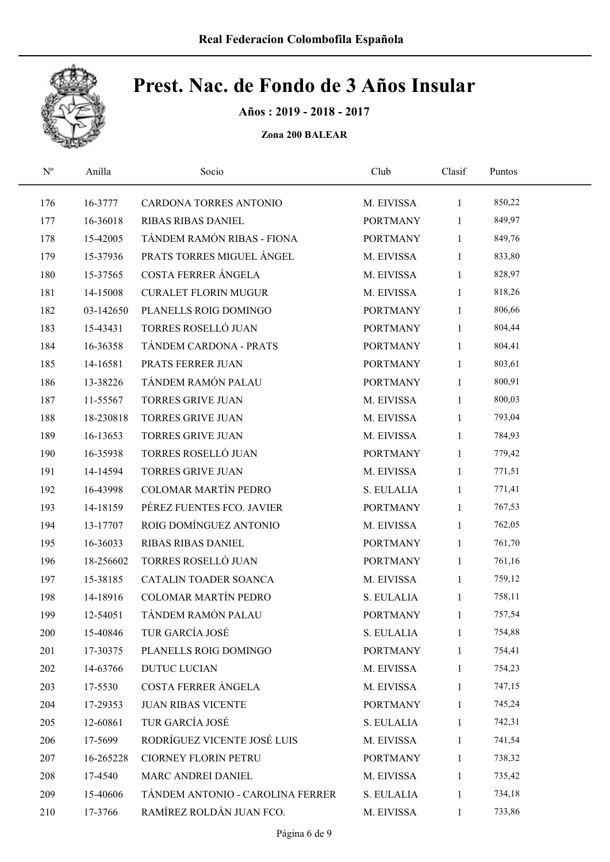

Años : 2019 - 2018 - 2017

| $\mathbf{N}^{\text{o}}$ | Anilla    | Socio                            | Club            | Clasif       | Puntos |  |
|-------------------------|-----------|----------------------------------|-----------------|--------------|--------|--|
| 176                     | 16-3777   | CARDONA TORRES ANTONIO           | M. EIVISSA      | $\mathbf{1}$ | 850,22 |  |
| 177                     | 16-36018  | <b>RIBAS RIBAS DANIEL</b>        | <b>PORTMANY</b> | 1            | 849,97 |  |
| 178                     | 15-42005  | TÁNDEM RAMÓN RIBAS - FIONA       | <b>PORTMANY</b> | $\mathbf{1}$ | 849,76 |  |
| 179                     | 15-37936  | PRATS TORRES MIGUEL ÁNGEL        | M. EIVISSA      | $\mathbf{1}$ | 833,80 |  |
| 180                     | 15-37565  | COSTA FERRER ÁNGELA              | M. EIVISSA      | $\mathbf{1}$ | 828,97 |  |
| 181                     | 14-15008  | <b>CURALET FLORIN MUGUR</b>      | M. EIVISSA      | $\mathbf{1}$ | 818,26 |  |
| 182                     | 03-142650 | PLANELLS ROIG DOMINGO            | <b>PORTMANY</b> | $\mathbf{1}$ | 806,66 |  |
| 183                     | 15-43431  | TORRES ROSELLÓ JUAN              | <b>PORTMANY</b> | $\mathbf{1}$ | 804,44 |  |
| 184                     | 16-36358  | TÁNDEM CARDONA - PRATS           | <b>PORTMANY</b> | $\mathbf{1}$ | 804,41 |  |
| 185                     | 14-16581  | PRATS FERRER JUAN                | <b>PORTMANY</b> | $\mathbf{1}$ | 803,61 |  |
| 186                     | 13-38226  | TÁNDEM RAMÓN PALAU               | <b>PORTMANY</b> | $\mathbf{1}$ | 800,91 |  |
| 187                     | 11-55567  | <b>TORRES GRIVE JUAN</b>         | M. EIVISSA      | $\mathbf{1}$ | 800,03 |  |
| 188                     | 18-230818 | <b>TORRES GRIVE JUAN</b>         | M. EIVISSA      | $\mathbf{1}$ | 793,04 |  |
| 189                     | 16-13653  | <b>TORRES GRIVE JUAN</b>         | M. EIVISSA      | $\mathbf{1}$ | 784,93 |  |
| 190                     | 16-35938  | TORRES ROSELLÓ JUAN              | <b>PORTMANY</b> | 1            | 779,42 |  |
| 191                     | 14-14594  | <b>TORRES GRIVE JUAN</b>         | M. EIVISSA      | $\mathbf{1}$ | 771,51 |  |
| 192                     | 16-43998  | COLOMAR MARTÍN PEDRO             | S. EULALIA      | $\mathbf{1}$ | 771,41 |  |
| 193                     | 14-18159  | PÉREZ FUENTES FCO. JAVIER        | <b>PORTMANY</b> | $\mathbf{1}$ | 767,53 |  |
| 194                     | 13-17707  | ROIG DOMÍNGUEZ ANTONIO           | M. EIVISSA      | $\mathbf{1}$ | 762,05 |  |
| 195                     | 16-36033  | RIBAS RIBAS DANIEL               | <b>PORTMANY</b> | $\mathbf{1}$ | 761,70 |  |
| 196                     | 18-256602 | TORRES ROSELLÓ JUAN              | <b>PORTMANY</b> | $\mathbf{1}$ | 761,16 |  |
| 197                     | 15-38185  | CATALIN TOADER SOANCA            | M. EIVISSA      | $\mathbf{1}$ | 759,12 |  |
| 198                     | 14-18916  | COLOMAR MARTÍN PEDRO             | S. EULALIA      | $\mathbf{1}$ | 758,11 |  |
| 199                     | 12-54051  | TÁNDEM RAMÓN PALAU               | <b>PORTMANY</b> | $\mathbf{1}$ | 757,54 |  |
| 200                     | 15-40846  | TUR GARCÍA JOSÉ                  | S. EULALIA      | 1            | 754,88 |  |
| 201                     | 17-30375  | PLANELLS ROIG DOMINGO            | <b>PORTMANY</b> | $\mathbf{1}$ | 754,41 |  |
| 202                     | 14-63766  | <b>DUTUC LUCIAN</b>              | M. EIVISSA      | 1            | 754,23 |  |
| 203                     | 17-5530   | COSTA FERRER ÁNGELA              | M. EIVISSA      | 1            | 747,15 |  |
| 204                     | 17-29353  | <b>JUAN RIBAS VICENTE</b>        | <b>PORTMANY</b> | 1            | 745,24 |  |
| 205                     | 12-60861  | TUR GARCÍA JOSÉ                  | S. EULALIA      | $\mathbf{1}$ | 742,31 |  |
| 206                     | 17-5699   | RODRÍGUEZ VICENTE JOSÉ LUIS      | M. EIVISSA      | $\mathbf{1}$ | 741,54 |  |
| 207                     | 16-265228 | <b>CIORNEY FLORIN PETRU</b>      | <b>PORTMANY</b> | 1            | 738,32 |  |
| 208                     | 17-4540   | MARC ANDREI DANIEL               | M. EIVISSA      | 1            | 735,42 |  |
| 209                     | 15-40606  | TÁNDEM ANTONIO - CAROLINA FERRER | S. EULALIA      | $\mathbf{1}$ | 734,18 |  |
| 210                     | 17-3766   | RAMÍREZ ROLDÁN JUAN FCO.         | M. EIVISSA      | $\mathbf{1}$ | 733,86 |  |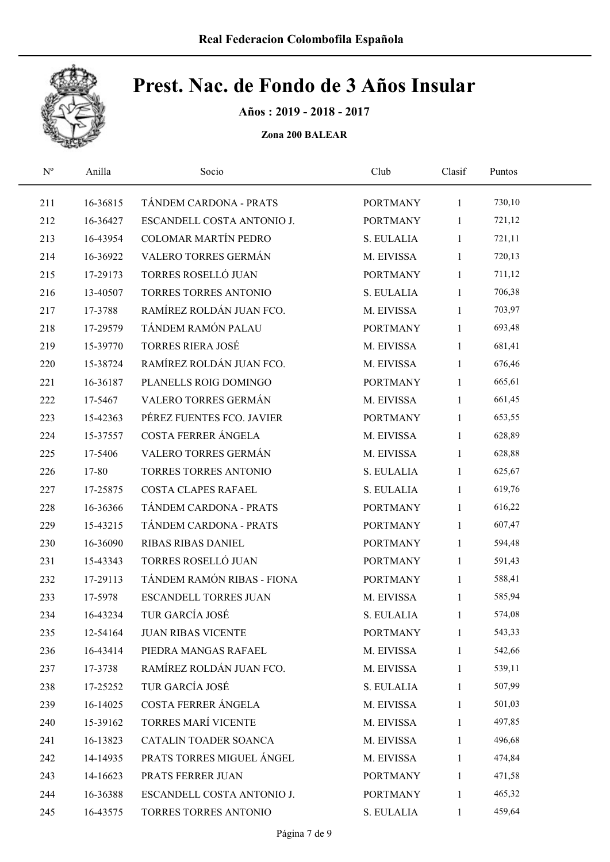

Años : 2019 - 2018 - 2017

| $\mathbf{N}^{\text{o}}$ | Anilla   | Socio                        | Club            | Clasif       | Puntos |  |
|-------------------------|----------|------------------------------|-----------------|--------------|--------|--|
| 211                     | 16-36815 | TÁNDEM CARDONA - PRATS       | <b>PORTMANY</b> | $\mathbf{1}$ | 730,10 |  |
| 212                     | 16-36427 | ESCANDELL COSTA ANTONIO J.   | <b>PORTMANY</b> | 1            | 721,12 |  |
| 213                     | 16-43954 | COLOMAR MARTÍN PEDRO         | S. EULALIA      | $\mathbf{1}$ | 721,11 |  |
| 214                     | 16-36922 | VALERO TORRES GERMÁN         | M. EIVISSA      | $\mathbf{1}$ | 720,13 |  |
| 215                     | 17-29173 | TORRES ROSELLÓ JUAN          | <b>PORTMANY</b> | $\mathbf{1}$ | 711,12 |  |
| 216                     | 13-40507 | TORRES TORRES ANTONIO        | S. EULALIA      | $\mathbf{1}$ | 706,38 |  |
| 217                     | 17-3788  | RAMÍREZ ROLDÁN JUAN FCO.     | M. EIVISSA      | $\mathbf{1}$ | 703,97 |  |
| 218                     | 17-29579 | TÁNDEM RAMÓN PALAU           | <b>PORTMANY</b> | $\mathbf{1}$ | 693,48 |  |
| 219                     | 15-39770 | <b>TORRES RIERA JOSÉ</b>     | M. EIVISSA      | $\mathbf{1}$ | 681,41 |  |
| 220                     | 15-38724 | RAMÍREZ ROLDÁN JUAN FCO.     | M. EIVISSA      | $\mathbf{1}$ | 676,46 |  |
| 221                     | 16-36187 | PLANELLS ROIG DOMINGO        | <b>PORTMANY</b> | $\mathbf{1}$ | 665,61 |  |
| 222                     | 17-5467  | VALERO TORRES GERMÁN         | M. EIVISSA      | $\mathbf{1}$ | 661,45 |  |
| 223                     | 15-42363 | PÉREZ FUENTES FCO. JAVIER    | <b>PORTMANY</b> | $\mathbf{1}$ | 653,55 |  |
| 224                     | 15-37557 | COSTA FERRER ÁNGELA          | M. EIVISSA      | $\mathbf{1}$ | 628,89 |  |
| 225                     | 17-5406  | VALERO TORRES GERMÁN         | M. EIVISSA      | $\mathbf{1}$ | 628,88 |  |
| 226                     | 17-80    | TORRES TORRES ANTONIO        | S. EULALIA      | $\mathbf{1}$ | 625,67 |  |
| 227                     | 17-25875 | <b>COSTA CLAPES RAFAEL</b>   | S. EULALIA      | $\mathbf{1}$ | 619,76 |  |
| 228                     | 16-36366 | TÁNDEM CARDONA - PRATS       | <b>PORTMANY</b> | $\mathbf{1}$ | 616,22 |  |
| 229                     | 15-43215 | TÁNDEM CARDONA - PRATS       | <b>PORTMANY</b> | $\mathbf{1}$ | 607,47 |  |
| 230                     | 16-36090 | <b>RIBAS RIBAS DANIEL</b>    | <b>PORTMANY</b> | $\mathbf{1}$ | 594,48 |  |
| 231                     | 15-43343 | TORRES ROSELLÓ JUAN          | <b>PORTMANY</b> | $\mathbf{1}$ | 591,43 |  |
| 232                     | 17-29113 | TÁNDEM RAMÓN RIBAS - FIONA   | <b>PORTMANY</b> | $\mathbf{1}$ | 588,41 |  |
| 233                     | 17-5978  | <b>ESCANDELL TORRES JUAN</b> | M. EIVISSA      | $\mathbf{1}$ | 585,94 |  |
| 234                     | 16-43234 | TUR GARCÍA JOSÉ              | S. EULALIA      | $\mathbf{1}$ | 574,08 |  |
| 235                     | 12-54164 | <b>JUAN RIBAS VICENTE</b>    | <b>PORTMANY</b> | 1            | 543,33 |  |
| 236                     | 16-43414 | PIEDRA MANGAS RAFAEL         | M. EIVISSA      | 1            | 542,66 |  |
| 237                     | 17-3738  | RAMÍREZ ROLDÁN JUAN FCO.     | M. EIVISSA      | 1            | 539,11 |  |
| 238                     | 17-25252 | TUR GARCÍA JOSÉ              | S. EULALIA      | 1            | 507,99 |  |
| 239                     | 16-14025 | COSTA FERRER ÁNGELA          | M. EIVISSA      | 1            | 501,03 |  |
| 240                     | 15-39162 | TORRES MARÍ VICENTE          | M. EIVISSA      | 1            | 497,85 |  |
| 241                     | 16-13823 | CATALIN TOADER SOANCA        | M. EIVISSA      | $\mathbf{1}$ | 496,68 |  |
| 242                     | 14-14935 | PRATS TORRES MIGUEL ÁNGEL    | M. EIVISSA      | 1            | 474,84 |  |
| 243                     | 14-16623 | PRATS FERRER JUAN            | <b>PORTMANY</b> | $\mathbf{1}$ | 471,58 |  |
| 244                     | 16-36388 | ESCANDELL COSTA ANTONIO J.   | <b>PORTMANY</b> | $\mathbf{1}$ | 465,32 |  |
| 245                     | 16-43575 | TORRES TORRES ANTONIO        | S. EULALIA      | $\mathbf{1}$ | 459,64 |  |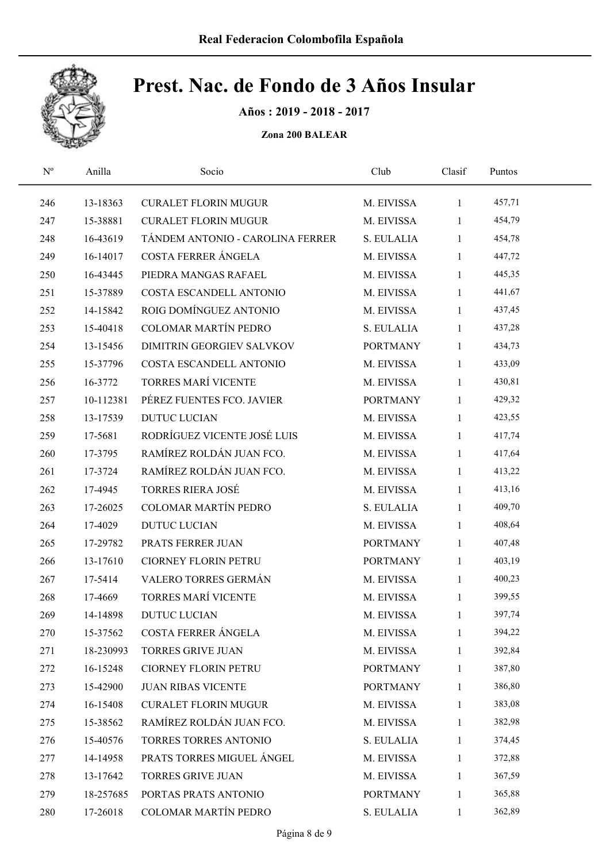

Años : 2019 - 2018 - 2017

| $\mathbf{N}^{\text{o}}$ | Anilla    | Socio                            | Club            | Clasif       | Puntos |  |
|-------------------------|-----------|----------------------------------|-----------------|--------------|--------|--|
| 246                     | 13-18363  | <b>CURALET FLORIN MUGUR</b>      | M. EIVISSA      | $\mathbf{1}$ | 457,71 |  |
| 247                     | 15-38881  | <b>CURALET FLORIN MUGUR</b>      | M. EIVISSA      | $\mathbf{1}$ | 454,79 |  |
| 248                     | 16-43619  | TÁNDEM ANTONIO - CAROLINA FERRER | S. EULALIA      | $\mathbf{1}$ | 454,78 |  |
| 249                     | 16-14017  | COSTA FERRER ÁNGELA              | M. EIVISSA      | $\mathbf{1}$ | 447,72 |  |
| 250                     | 16-43445  | PIEDRA MANGAS RAFAEL             | M. EIVISSA      | $\mathbf{1}$ | 445,35 |  |
| 251                     | 15-37889  | COSTA ESCANDELL ANTONIO          | M. EIVISSA      | $\mathbf{1}$ | 441,67 |  |
| 252                     | 14-15842  | ROIG DOMÍNGUEZ ANTONIO           | M. EIVISSA      | $\mathbf{1}$ | 437,45 |  |
| 253                     | 15-40418  | <b>COLOMAR MARTÍN PEDRO</b>      | S. EULALIA      | $\mathbf{1}$ | 437,28 |  |
| 254                     | 13-15456  | DIMITRIN GEORGIEV SALVKOV        | <b>PORTMANY</b> | $\mathbf{1}$ | 434,73 |  |
| 255                     | 15-37796  | COSTA ESCANDELL ANTONIO          | M. EIVISSA      | $\mathbf{1}$ | 433,09 |  |
| 256                     | 16-3772   | TORRES MARÍ VICENTE              | M. EIVISSA      | $\mathbf{1}$ | 430,81 |  |
| 257                     | 10-112381 | PÉREZ FUENTES FCO. JAVIER        | <b>PORTMANY</b> | $\mathbf{1}$ | 429,32 |  |
| 258                     | 13-17539  | <b>DUTUC LUCIAN</b>              | M. EIVISSA      | $\mathbf{1}$ | 423,55 |  |
| 259                     | 17-5681   | RODRÍGUEZ VICENTE JOSÉ LUIS      | M. EIVISSA      | $\mathbf{1}$ | 417,74 |  |
| 260                     | 17-3795   | RAMÍREZ ROLDÁN JUAN FCO.         | M. EIVISSA      | $\mathbf{1}$ | 417,64 |  |
| 261                     | 17-3724   | RAMÍREZ ROLDÁN JUAN FCO.         | M. EIVISSA      | $\mathbf{1}$ | 413,22 |  |
| 262                     | 17-4945   | <b>TORRES RIERA JOSÉ</b>         | M. EIVISSA      | $\mathbf{1}$ | 413,16 |  |
| 263                     | 17-26025  | COLOMAR MARTÍN PEDRO             | S. EULALIA      | $\mathbf{1}$ | 409,70 |  |
| 264                     | 17-4029   | <b>DUTUC LUCIAN</b>              | M. EIVISSA      | $\mathbf{1}$ | 408,64 |  |
| 265                     | 17-29782  | PRATS FERRER JUAN                | <b>PORTMANY</b> | $\mathbf{1}$ | 407,48 |  |
| 266                     | 13-17610  | <b>CIORNEY FLORIN PETRU</b>      | <b>PORTMANY</b> | $\mathbf{1}$ | 403,19 |  |
| 267                     | 17-5414   | VALERO TORRES GERMÁN             | M. EIVISSA      | $\mathbf{1}$ | 400,23 |  |
| 268                     | 17-4669   | TORRES MARÍ VICENTE              | M. EIVISSA      | $\mathbf{1}$ | 399,55 |  |
| 269                     | 14-14898  | <b>DUTUC LUCIAN</b>              | M. EIVISSA      | $\mathbf{1}$ | 397,74 |  |
| 270                     | 15-37562  | COSTA FERRER ÁNGELA              | M. EIVISSA      | 1            | 394,22 |  |
| 271                     | 18-230993 | TORRES GRIVE JUAN                | M. EIVISSA      | $\mathbf{1}$ | 392,84 |  |
| 272                     | 16-15248  | <b>CIORNEY FLORIN PETRU</b>      | <b>PORTMANY</b> | 1            | 387,80 |  |
| 273                     | 15-42900  | <b>JUAN RIBAS VICENTE</b>        | <b>PORTMANY</b> | 1            | 386,80 |  |
| 274                     | 16-15408  | <b>CURALET FLORIN MUGUR</b>      | M. EIVISSA      | 1            | 383,08 |  |
| 275                     | 15-38562  | RAMÍREZ ROLDÁN JUAN FCO.         | M. EIVISSA      | $\mathbf{1}$ | 382,98 |  |
| 276                     | 15-40576  | TORRES TORRES ANTONIO            | S. EULALIA      | $\mathbf{1}$ | 374,45 |  |
| 277                     | 14-14958  | PRATS TORRES MIGUEL ÁNGEL        | M. EIVISSA      | $\mathbf{1}$ | 372,88 |  |
| 278                     | 13-17642  | <b>TORRES GRIVE JUAN</b>         | M. EIVISSA      | 1            | 367,59 |  |
| 279                     | 18-257685 | PORTAS PRATS ANTONIO             | <b>PORTMANY</b> | 1            | 365,88 |  |
| 280                     | 17-26018  | COLOMAR MARTÍN PEDRO             | S. EULALIA      | $\mathbf{1}$ | 362,89 |  |